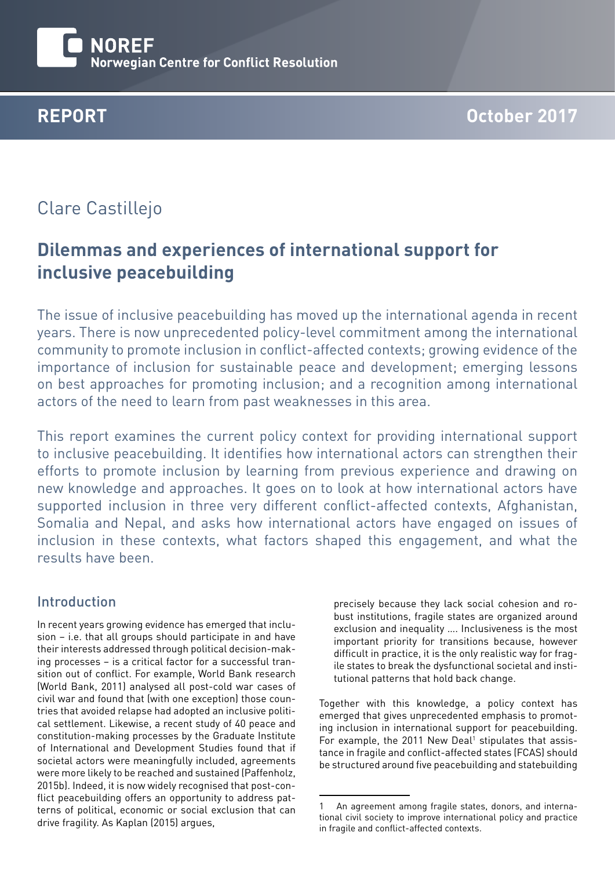

# Clare Castillejo

# **Dilemmas and experiences of international support for inclusive peacebuilding**

The issue of inclusive peacebuilding has moved up the international agenda in recent years. There is now unprecedented policy-level commitment among the international community to promote inclusion in conflict-affected contexts; growing evidence of the importance of inclusion for sustainable peace and development; emerging lessons on best approaches for promoting inclusion; and a recognition among international actors of the need to learn from past weaknesses in this area.

This report examines the current policy context for providing international support to inclusive peacebuilding. It identifies how international actors can strengthen their efforts to promote inclusion by learning from previous experience and drawing on new knowledge and approaches. It goes on to look at how international actors have supported inclusion in three very different conflict-affected contexts, Afghanistan, Somalia and Nepal, and asks how international actors have engaged on issues of inclusion in these contexts, what factors shaped this engagement, and what the results have been.

## Introduction

In recent years growing evidence has emerged that inclusion – i.e. that all groups should participate in and have their interests addressed through political decision-making processes – is a critical factor for a successful transition out of conflict. For example, World Bank research (World Bank, 2011) analysed all post-cold war cases of civil war and found that (with one exception) those countries that avoided relapse had adopted an inclusive political settlement. Likewise, a recent study of 40 peace and constitution-making processes by the Graduate Institute of International and Development Studies found that if societal actors were meaningfully included, agreements were more likely to be reached and sustained (Paffenholz, 2015b). Indeed, it is now widely recognised that post-conflict peacebuilding offers an opportunity to address patterns of political, economic or social exclusion that can drive fragility. As Kaplan (2015) argues,

precisely because they lack social cohesion and robust institutions, fragile states are organized around exclusion and inequality …. Inclusiveness is the most important priority for transitions because, however difficult in practice, it is the only realistic way for fragile states to break the dysfunctional societal and institutional patterns that hold back change.

Together with this knowledge, a policy context has emerged that gives unprecedented emphasis to promoting inclusion in international support for peacebuilding. For example, the 2011 New Deal<sup>1</sup> stipulates that assistance in fragile and conflict-affected states (FCAS) should be structured around five peacebuilding and statebuilding

<sup>1</sup> An agreement among fragile states, donors, and international civil society to improve international policy and practice in fragile and conflict-affected contexts.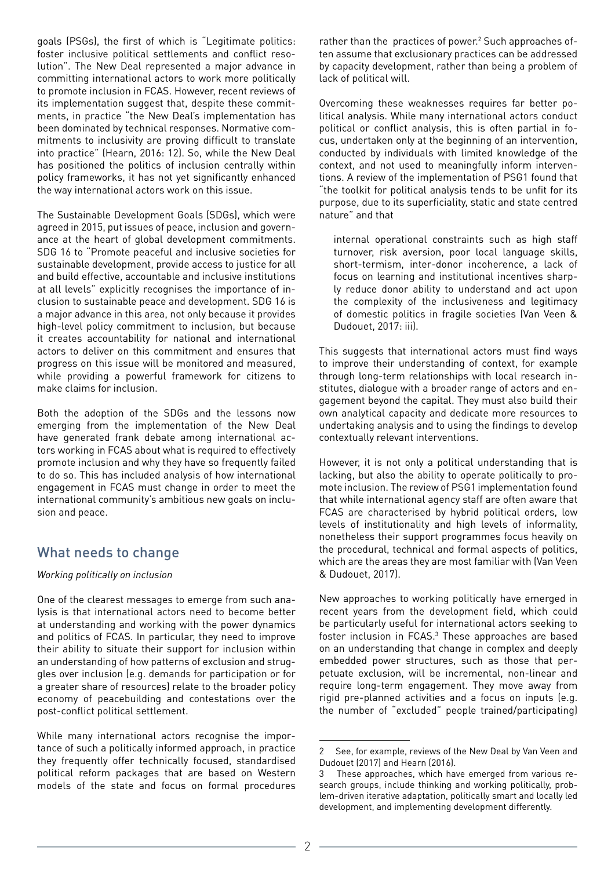goals (PSGs), the first of which is "Legitimate politics: foster inclusive political settlements and conflict resolution". The New Deal represented a major advance in committing international actors to work more politically to promote inclusion in FCAS. However, recent reviews of its implementation suggest that, despite these commitments, in practice "the New Deal's implementation has been dominated by technical responses. Normative commitments to inclusivity are proving difficult to translate into practice" (Hearn, 2016: 12). So, while the New Deal has positioned the politics of inclusion centrally within policy frameworks, it has not yet significantly enhanced the way international actors work on this issue.

The Sustainable Development Goals (SDGs), which were agreed in 2015, put issues of peace, inclusion and governance at the heart of global development commitments. SDG 16 to "Promote peaceful and inclusive societies for sustainable development, provide access to justice for all and build effective, accountable and inclusive institutions at all levels" explicitly recognises the importance of inclusion to sustainable peace and development. SDG 16 is a major advance in this area, not only because it provides high-level policy commitment to inclusion, but because it creates accountability for national and international actors to deliver on this commitment and ensures that progress on this issue will be monitored and measured, while providing a powerful framework for citizens to make claims for inclusion.

Both the adoption of the SDGs and the lessons now emerging from the implementation of the New Deal have generated frank debate among international actors working in FCAS about what is required to effectively promote inclusion and why they have so frequently failed to do so. This has included analysis of how international engagement in FCAS must change in order to meet the international community's ambitious new goals on inclusion and peace.

## What needs to change

## *Working politically on inclusion*

One of the clearest messages to emerge from such analysis is that international actors need to become better at understanding and working with the power dynamics and politics of FCAS. In particular, they need to improve their ability to situate their support for inclusion within an understanding of how patterns of exclusion and struggles over inclusion (e.g. demands for participation or for a greater share of resources) relate to the broader policy economy of peacebuilding and contestations over the post-conflict political settlement.

While many international actors recognise the importance of such a politically informed approach, in practice they frequently offer technically focused, standardised political reform packages that are based on Western models of the state and focus on formal procedures rather than the practices of power.<sup>2</sup> Such approaches often assume that exclusionary practices can be addressed by capacity development, rather than being a problem of lack of political will.

Overcoming these weaknesses requires far better political analysis. While many international actors conduct political or conflict analysis, this is often partial in focus, undertaken only at the beginning of an intervention, conducted by individuals with limited knowledge of the context, and not used to meaningfully inform interventions. A review of the implementation of PSG1 found that "the toolkit for political analysis tends to be unfit for its purpose, due to its superficiality, static and state centred nature" and that

internal operational constraints such as high staff turnover, risk aversion, poor local language skills, short-termism, inter-donor incoherence, a lack of focus on learning and institutional incentives sharply reduce donor ability to understand and act upon the complexity of the inclusiveness and legitimacy of domestic politics in fragile societies (Van Veen & Dudouet, 2017: iii).

This suggests that international actors must find ways to improve their understanding of context, for example through long-term relationships with local research institutes, dialogue with a broader range of actors and engagement beyond the capital. They must also build their own analytical capacity and dedicate more resources to undertaking analysis and to using the findings to develop contextually relevant interventions.

However, it is not only a political understanding that is lacking, but also the ability to operate politically to promote inclusion. The review of PSG1 implementation found that while international agency staff are often aware that FCAS are characterised by hybrid political orders, low levels of institutionality and high levels of informality, nonetheless their support programmes focus heavily on the procedural, technical and formal aspects of politics, which are the areas they are most familiar with (Van Veen & Dudouet, 2017).

New approaches to working politically have emerged in recent years from the development field, which could be particularly useful for international actors seeking to foster inclusion in FCAS.<sup>3</sup> These approaches are based on an understanding that change in complex and deeply embedded power structures, such as those that perpetuate exclusion, will be incremental, non-linear and require long-term engagement. They move away from rigid pre-planned activities and a focus on inputs (e.g. the number of "excluded" people trained/participating)

<sup>2</sup> See, for example, reviews of the New Deal by Van Veen and Dudouet (2017) and Hearn (2016).

<sup>3</sup> These approaches, which have emerged from various research groups, include thinking and working politically, problem-driven iterative adaptation, politically smart and locally led development, and implementing development differently.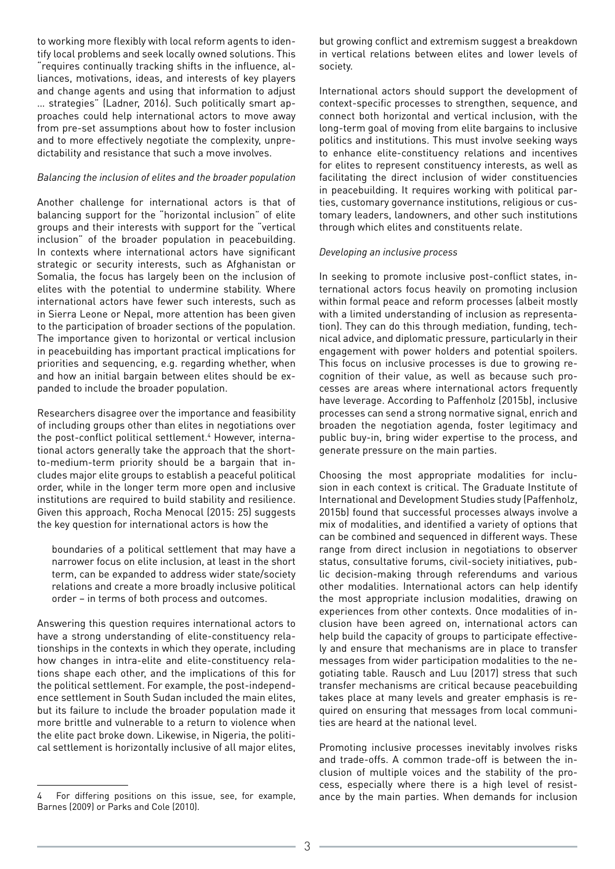to working more flexibly with local reform agents to identify local problems and seek locally owned solutions. This "requires continually tracking shifts in the influence, alliances, motivations, ideas, and interests of key players and change agents and using that information to adjust … strategies" (Ladner, 2016). Such politically smart approaches could help international actors to move away from pre-set assumptions about how to foster inclusion and to more effectively negotiate the complexity, unpredictability and resistance that such a move involves.

#### *Balancing the inclusion of elites and the broader population*

Another challenge for international actors is that of balancing support for the "horizontal inclusion" of elite groups and their interests with support for the "vertical inclusion" of the broader population in peacebuilding. In contexts where international actors have significant strategic or security interests, such as Afghanistan or Somalia, the focus has largely been on the inclusion of elites with the potential to undermine stability. Where international actors have fewer such interests, such as in Sierra Leone or Nepal, more attention has been given to the participation of broader sections of the population. The importance given to horizontal or vertical inclusion in peacebuilding has important practical implications for priorities and sequencing, e.g. regarding whether, when and how an initial bargain between elites should be expanded to include the broader population.

Researchers disagree over the importance and feasibility of including groups other than elites in negotiations over the post-conflict political settlement.<sup>4</sup> However, international actors generally take the approach that the shortto-medium-term priority should be a bargain that includes major elite groups to establish a peaceful political order, while in the longer term more open and inclusive institutions are required to build stability and resilience. Given this approach, Rocha Menocal (2015: 25) suggests the key question for international actors is how the

boundaries of a political settlement that may have a narrower focus on elite inclusion, at least in the short term, can be expanded to address wider state/society relations and create a more broadly inclusive political order – in terms of both process and outcomes.

Answering this question requires international actors to have a strong understanding of elite-constituency relationships in the contexts in which they operate, including how changes in intra-elite and elite-constituency relations shape each other, and the implications of this for the political settlement. For example, the post-independence settlement in South Sudan included the main elites, but its failure to include the broader population made it more brittle and vulnerable to a return to violence when the elite pact broke down. Likewise, in Nigeria, the political settlement is horizontally inclusive of all major elites,

but growing conflict and extremism suggest a breakdown in vertical relations between elites and lower levels of society.

International actors should support the development of context-specific processes to strengthen, sequence, and connect both horizontal and vertical inclusion, with the long-term goal of moving from elite bargains to inclusive politics and institutions. This must involve seeking ways to enhance elite-constituency relations and incentives for elites to represent constituency interests, as well as facilitating the direct inclusion of wider constituencies in peacebuilding. It requires working with political parties, customary governance institutions, religious or customary leaders, landowners, and other such institutions through which elites and constituents relate.

#### *Developing an inclusive process*

In seeking to promote inclusive post-conflict states, international actors focus heavily on promoting inclusion within formal peace and reform processes (albeit mostly with a limited understanding of inclusion as representation). They can do this through mediation, funding, technical advice, and diplomatic pressure, particularly in their engagement with power holders and potential spoilers. This focus on inclusive processes is due to growing recognition of their value, as well as because such processes are areas where international actors frequently have leverage. According to Paffenholz (2015b), inclusive processes can send a strong normative signal, enrich and broaden the negotiation agenda, foster legitimacy and public buy-in, bring wider expertise to the process, and generate pressure on the main parties.

Choosing the most appropriate modalities for inclusion in each context is critical. The Graduate Institute of International and Development Studies study (Paffenholz, 2015b) found that successful processes always involve a mix of modalities, and identified a variety of options that can be combined and sequenced in different ways. These range from direct inclusion in negotiations to observer status, consultative forums, civil-society initiatives, public decision-making through referendums and various other modalities. International actors can help identify the most appropriate inclusion modalities, drawing on experiences from other contexts. Once modalities of inclusion have been agreed on, international actors can help build the capacity of groups to participate effectively and ensure that mechanisms are in place to transfer messages from wider participation modalities to the negotiating table. Rausch and Luu (2017) stress that such transfer mechanisms are critical because peacebuilding takes place at many levels and greater emphasis is required on ensuring that messages from local communities are heard at the national level.

Promoting inclusive processes inevitably involves risks and trade-offs. A common trade-off is between the inclusion of multiple voices and the stability of the process, especially where there is a high level of resistance by the main parties. When demands for inclusion

For differing positions on this issue, see, for example, Barnes (2009) or Parks and Cole (2010).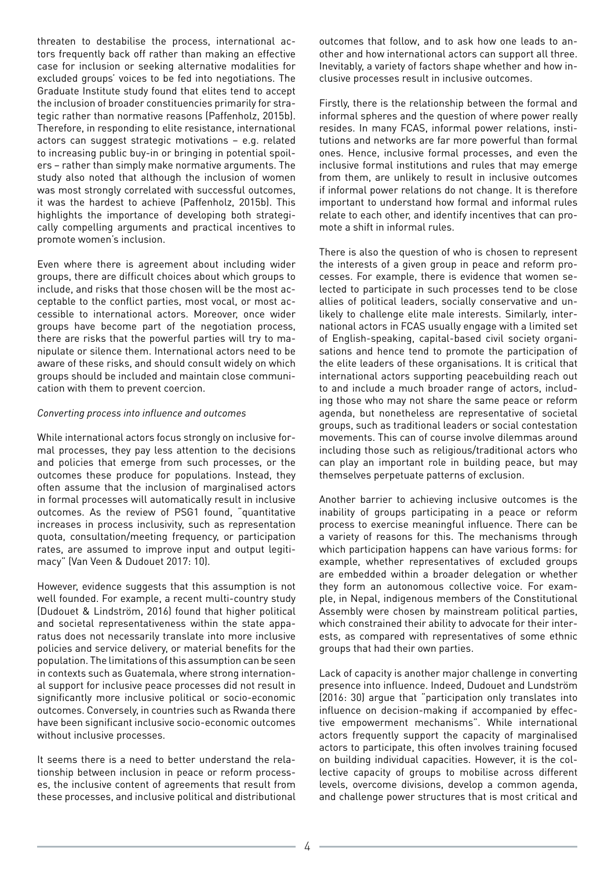threaten to destabilise the process, international actors frequently back off rather than making an effective case for inclusion or seeking alternative modalities for excluded groups' voices to be fed into negotiations. The Graduate Institute study found that elites tend to accept the inclusion of broader constituencies primarily for strategic rather than normative reasons (Paffenholz, 2015b). Therefore, in responding to elite resistance, international actors can suggest strategic motivations – e.g. related to increasing public buy-in or bringing in potential spoilers – rather than simply make normative arguments. The study also noted that although the inclusion of women was most strongly correlated with successful outcomes, it was the hardest to achieve (Paffenholz, 2015b). This highlights the importance of developing both strategically compelling arguments and practical incentives to promote women's inclusion.

Even where there is agreement about including wider groups, there are difficult choices about which groups to include, and risks that those chosen will be the most acceptable to the conflict parties, most vocal, or most accessible to international actors. Moreover, once wider groups have become part of the negotiation process, there are risks that the powerful parties will try to manipulate or silence them. International actors need to be aware of these risks, and should consult widely on which groups should be included and maintain close communication with them to prevent coercion.

#### *Converting process into influence and outcomes*

While international actors focus strongly on inclusive formal processes, they pay less attention to the decisions and policies that emerge from such processes, or the outcomes these produce for populations. Instead, they often assume that the inclusion of marginalised actors in formal processes will automatically result in inclusive outcomes. As the review of PSG1 found, "quantitative increases in process inclusivity, such as representation quota, consultation/meeting frequency, or participation rates, are assumed to improve input and output legitimacy" (Van Veen & Dudouet 2017: 10).

However, evidence suggests that this assumption is not well founded. For example, a recent multi-country study (Dudouet & Lindström, 2016) found that higher political and societal representativeness within the state apparatus does not necessarily translate into more inclusive policies and service delivery, or material benefits for the population. The limitations of this assumption can be seen in contexts such as Guatemala, where strong international support for inclusive peace processes did not result in significantly more inclusive political or socio-economic outcomes. Conversely, in countries such as Rwanda there have been significant inclusive socio-economic outcomes without inclusive processes.

It seems there is a need to better understand the relationship between inclusion in peace or reform processes, the inclusive content of agreements that result from these processes, and inclusive political and distributional outcomes that follow, and to ask how one leads to another and how international actors can support all three. Inevitably, a variety of factors shape whether and how inclusive processes result in inclusive outcomes.

Firstly, there is the relationship between the formal and informal spheres and the question of where power really resides. In many FCAS, informal power relations, institutions and networks are far more powerful than formal ones. Hence, inclusive formal processes, and even the inclusive formal institutions and rules that may emerge from them, are unlikely to result in inclusive outcomes if informal power relations do not change. It is therefore important to understand how formal and informal rules relate to each other, and identify incentives that can promote a shift in informal rules.

There is also the question of who is chosen to represent the interests of a given group in peace and reform processes. For example, there is evidence that women selected to participate in such processes tend to be close allies of political leaders, socially conservative and unlikely to challenge elite male interests. Similarly, international actors in FCAS usually engage with a limited set of English-speaking, capital-based civil society organisations and hence tend to promote the participation of the elite leaders of these organisations. It is critical that international actors supporting peacebuilding reach out to and include a much broader range of actors, including those who may not share the same peace or reform agenda, but nonetheless are representative of societal groups, such as traditional leaders or social contestation movements. This can of course involve dilemmas around including those such as religious/traditional actors who can play an important role in building peace, but may themselves perpetuate patterns of exclusion.

Another barrier to achieving inclusive outcomes is the inability of groups participating in a peace or reform process to exercise meaningful influence. There can be a variety of reasons for this. The mechanisms through which participation happens can have various forms: for example, whether representatives of excluded groups are embedded within a broader delegation or whether they form an autonomous collective voice. For example, in Nepal, indigenous members of the Constitutional Assembly were chosen by mainstream political parties, which constrained their ability to advocate for their interests, as compared with representatives of some ethnic groups that had their own parties.

Lack of capacity is another major challenge in converting presence into influence. Indeed, Dudouet and Lundström (2016: 30) argue that "participation only translates into influence on decision-making if accompanied by effective empowerment mechanisms". While international actors frequently support the capacity of marginalised actors to participate, this often involves training focused on building individual capacities. However, it is the collective capacity of groups to mobilise across different levels, overcome divisions, develop a common agenda, and challenge power structures that is most critical and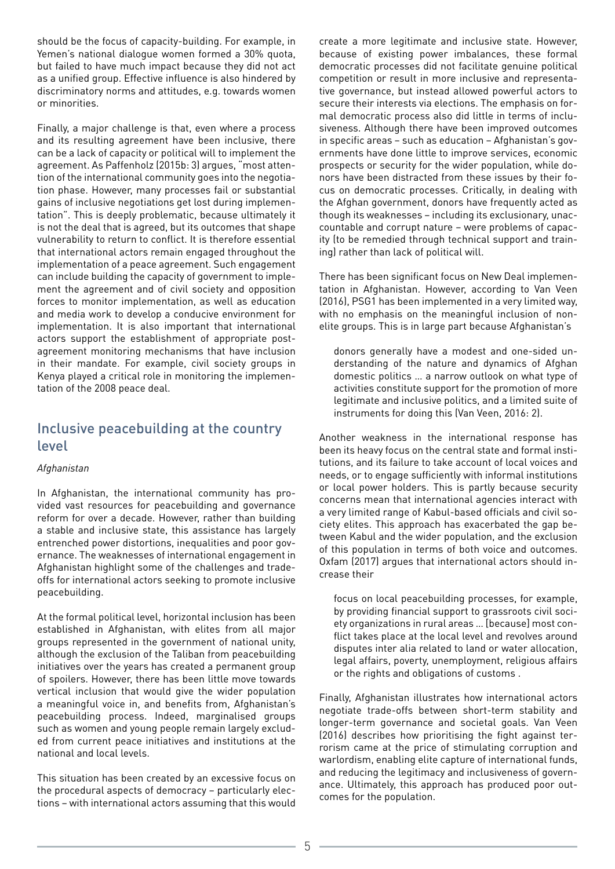should be the focus of capacity-building. For example, in Yemen's national dialogue women formed a 30% quota, but failed to have much impact because they did not act as a unified group. Effective influence is also hindered by discriminatory norms and attitudes, e.g. towards women or minorities.

Finally, a major challenge is that, even where a process and its resulting agreement have been inclusive, there can be a lack of capacity or political will to implement the agreement. As Paffenholz (2015b: 3) argues, "most attention of the international community goes into the negotiation phase. However, many processes fail or substantial gains of inclusive negotiations get lost during implementation". This is deeply problematic, because ultimately it is not the deal that is agreed, but its outcomes that shape vulnerability to return to conflict. It is therefore essential that international actors remain engaged throughout the implementation of a peace agreement. Such engagement can include building the capacity of government to implement the agreement and of civil society and opposition forces to monitor implementation, as well as education and media work to develop a conducive environment for implementation. It is also important that international actors support the establishment of appropriate postagreement monitoring mechanisms that have inclusion in their mandate. For example, civil society groups in Kenya played a critical role in monitoring the implementation of the 2008 peace deal.

## Inclusive peacebuilding at the country level

## *Afghanistan*

In Afghanistan, the international community has provided vast resources for peacebuilding and governance reform for over a decade. However, rather than building a stable and inclusive state, this assistance has largely entrenched power distortions, inequalities and poor governance. The weaknesses of international engagement in Afghanistan highlight some of the challenges and tradeoffs for international actors seeking to promote inclusive peacebuilding.

At the formal political level, horizontal inclusion has been established in Afghanistan, with elites from all major groups represented in the government of national unity, although the exclusion of the Taliban from peacebuilding initiatives over the years has created a permanent group of spoilers. However, there has been little move towards vertical inclusion that would give the wider population a meaningful voice in, and benefits from, Afghanistan's peacebuilding process. Indeed, marginalised groups such as women and young people remain largely excluded from current peace initiatives and institutions at the national and local levels.

This situation has been created by an excessive focus on the procedural aspects of democracy – particularly elections – with international actors assuming that this would create a more legitimate and inclusive state. However, because of existing power imbalances, these formal democratic processes did not facilitate genuine political competition or result in more inclusive and representative governance, but instead allowed powerful actors to secure their interests via elections. The emphasis on formal democratic process also did little in terms of inclusiveness. Although there have been improved outcomes in specific areas – such as education – Afghanistan's governments have done little to improve services, economic prospects or security for the wider population, while donors have been distracted from these issues by their focus on democratic processes. Critically, in dealing with the Afghan government, donors have frequently acted as though its weaknesses – including its exclusionary, unaccountable and corrupt nature – were problems of capacity (to be remedied through technical support and training) rather than lack of political will.

There has been significant focus on New Deal implementation in Afghanistan. However, according to Van Veen (2016), PSG1 has been implemented in a very limited way, with no emphasis on the meaningful inclusion of nonelite groups. This is in large part because Afghanistan's

donors generally have a modest and one-sided understanding of the nature and dynamics of Afghan domestic politics … a narrow outlook on what type of activities constitute support for the promotion of more legitimate and inclusive politics, and a limited suite of instruments for doing this (Van Veen, 2016: 2).

Another weakness in the international response has been its heavy focus on the central state and formal institutions, and its failure to take account of local voices and needs, or to engage sufficiently with informal institutions or local power holders. This is partly because security concerns mean that international agencies interact with a very limited range of Kabul-based officials and civil society elites. This approach has exacerbated the gap between Kabul and the wider population, and the exclusion of this population in terms of both voice and outcomes. Oxfam (2017) argues that international actors should increase their

focus on local peacebuilding processes, for example, by providing financial support to grassroots civil society organizations in rural areas … [because] most conflict takes place at the local level and revolves around disputes inter alia related to land or water allocation, legal affairs, poverty, unemployment, religious affairs or the rights and obligations of customs .

Finally, Afghanistan illustrates how international actors negotiate trade-offs between short-term stability and longer-term governance and societal goals. Van Veen (2016) describes how prioritising the fight against terrorism came at the price of stimulating corruption and warlordism, enabling elite capture of international funds, and reducing the legitimacy and inclusiveness of governance. Ultimately, this approach has produced poor outcomes for the population.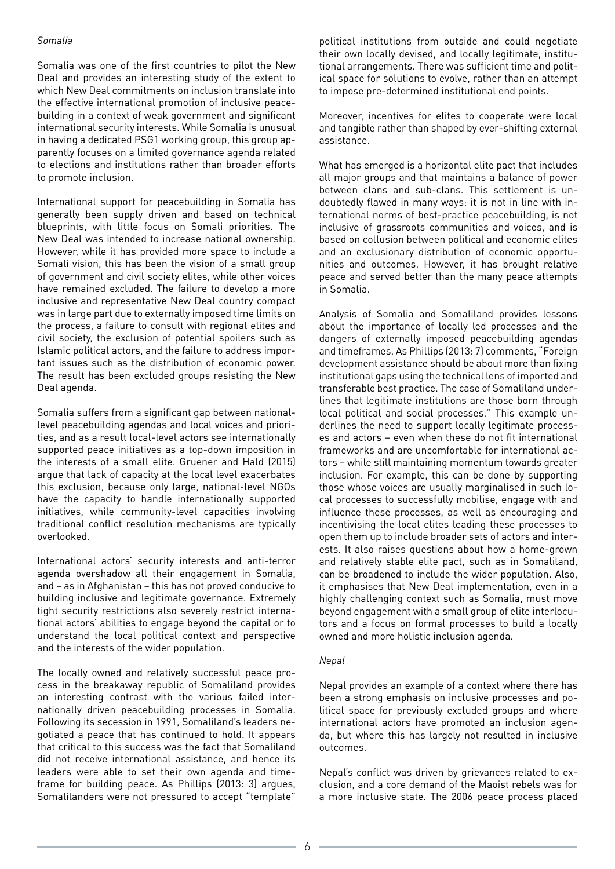#### *Somalia*

Somalia was one of the first countries to pilot the New Deal and provides an interesting study of the extent to which New Deal commitments on inclusion translate into the effective international promotion of inclusive peacebuilding in a context of weak government and significant international security interests. While Somalia is unusual in having a dedicated PSG1 working group, this group apparently focuses on a limited governance agenda related to elections and institutions rather than broader efforts to promote inclusion.

International support for peacebuilding in Somalia has generally been supply driven and based on technical blueprints, with little focus on Somali priorities. The New Deal was intended to increase national ownership. However, while it has provided more space to include a Somali vision, this has been the vision of a small group of government and civil society elites, while other voices have remained excluded. The failure to develop a more inclusive and representative New Deal country compact was in large part due to externally imposed time limits on the process, a failure to consult with regional elites and civil society, the exclusion of potential spoilers such as Islamic political actors, and the failure to address important issues such as the distribution of economic power. The result has been excluded groups resisting the New Deal agenda.

Somalia suffers from a significant gap between nationallevel peacebuilding agendas and local voices and priorities, and as a result local-level actors see internationally supported peace initiatives as a top-down imposition in the interests of a small elite. Gruener and Hald (2015) argue that lack of capacity at the local level exacerbates this exclusion, because only large, national-level NGOs have the capacity to handle internationally supported initiatives, while community-level capacities involving traditional conflict resolution mechanisms are typically overlooked.

International actors' security interests and anti-terror agenda overshadow all their engagement in Somalia, and – as in Afghanistan – this has not proved conducive to building inclusive and legitimate governance. Extremely tight security restrictions also severely restrict international actors' abilities to engage beyond the capital or to understand the local political context and perspective and the interests of the wider population.

The locally owned and relatively successful peace process in the breakaway republic of Somaliland provides an interesting contrast with the various failed internationally driven peacebuilding processes in Somalia. Following its secession in 1991, Somaliland's leaders negotiated a peace that has continued to hold. It appears that critical to this success was the fact that Somaliland did not receive international assistance, and hence its leaders were able to set their own agenda and timeframe for building peace. As Phillips (2013: 3) argues, Somalilanders were not pressured to accept "template"

political institutions from outside and could negotiate their own locally devised, and locally legitimate, institutional arrangements. There was sufficient time and political space for solutions to evolve, rather than an attempt to impose pre-determined institutional end points.

Moreover, incentives for elites to cooperate were local and tangible rather than shaped by ever-shifting external assistance.

What has emerged is a horizontal elite pact that includes all major groups and that maintains a balance of power between clans and sub-clans. This settlement is undoubtedly flawed in many ways: it is not in line with international norms of best-practice peacebuilding, is not inclusive of grassroots communities and voices, and is based on collusion between political and economic elites and an exclusionary distribution of economic opportunities and outcomes. However, it has brought relative peace and served better than the many peace attempts in Somalia.

Analysis of Somalia and Somaliland provides lessons about the importance of locally led processes and the dangers of externally imposed peacebuilding agendas and timeframes. As Phillips (2013: 7) comments, "Foreign development assistance should be about more than fixing institutional gaps using the technical lens of imported and transferable best practice. The case of Somaliland underlines that legitimate institutions are those born through local political and social processes." This example underlines the need to support locally legitimate processes and actors – even when these do not fit international frameworks and are uncomfortable for international actors – while still maintaining momentum towards greater inclusion. For example, this can be done by supporting those whose voices are usually marginalised in such local processes to successfully mobilise, engage with and influence these processes, as well as encouraging and incentivising the local elites leading these processes to open them up to include broader sets of actors and interests. It also raises questions about how a home-grown and relatively stable elite pact, such as in Somaliland, can be broadened to include the wider population. Also, it emphasises that New Deal implementation, even in a highly challenging context such as Somalia, must move beyond engagement with a small group of elite interlocutors and a focus on formal processes to build a locally owned and more holistic inclusion agenda.

#### *Nepal*

Nepal provides an example of a context where there has been a strong emphasis on inclusive processes and political space for previously excluded groups and where international actors have promoted an inclusion agenda, but where this has largely not resulted in inclusive outcomes.

Nepal's conflict was driven by grievances related to exclusion, and a core demand of the Maoist rebels was for a more inclusive state. The 2006 peace process placed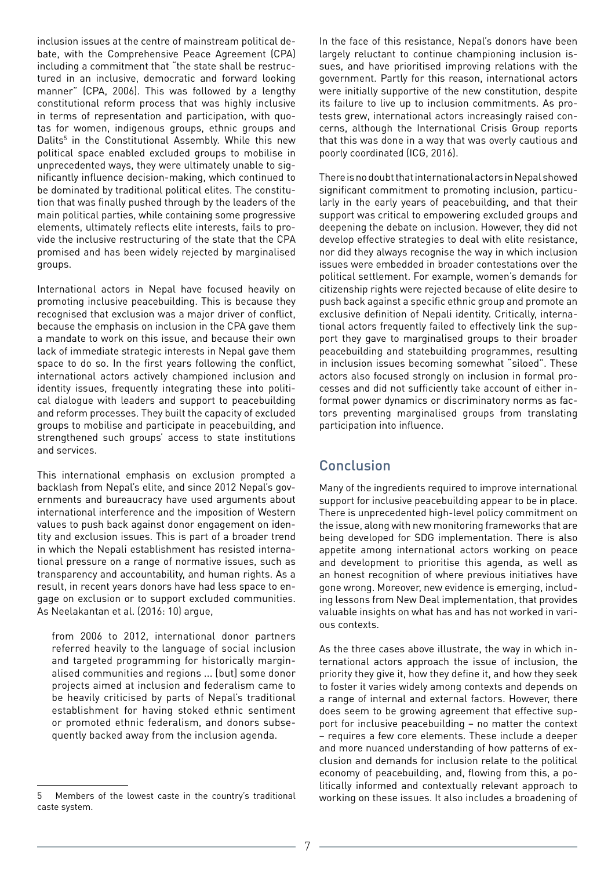inclusion issues at the centre of mainstream political debate, with the Comprehensive Peace Agreement (CPA) including a commitment that "the state shall be restructured in an inclusive, democratic and forward looking manner" (CPA, 2006). This was followed by a lengthy constitutional reform process that was highly inclusive in terms of representation and participation, with quotas for women, indigenous groups, ethnic groups and Dalits<sup>5</sup> in the Constitutional Assembly. While this new political space enabled excluded groups to mobilise in unprecedented ways, they were ultimately unable to significantly influence decision-making, which continued to be dominated by traditional political elites. The constitution that was finally pushed through by the leaders of the main political parties, while containing some progressive elements, ultimately reflects elite interests, fails to provide the inclusive restructuring of the state that the CPA promised and has been widely rejected by marginalised groups.

International actors in Nepal have focused heavily on promoting inclusive peacebuilding. This is because they recognised that exclusion was a major driver of conflict, because the emphasis on inclusion in the CPA gave them a mandate to work on this issue, and because their own lack of immediate strategic interests in Nepal gave them space to do so. In the first years following the conflict, international actors actively championed inclusion and identity issues, frequently integrating these into political dialogue with leaders and support to peacebuilding and reform processes. They built the capacity of excluded groups to mobilise and participate in peacebuilding, and strengthened such groups' access to state institutions and services.

This international emphasis on exclusion prompted a backlash from Nepal's elite, and since 2012 Nepal's governments and bureaucracy have used arguments about international interference and the imposition of Western values to push back against donor engagement on identity and exclusion issues. This is part of a broader trend in which the Nepali establishment has resisted international pressure on a range of normative issues, such as transparency and accountability, and human rights. As a result, in recent years donors have had less space to engage on exclusion or to support excluded communities. As Neelakantan et al. (2016: 10) argue,

from 2006 to 2012, international donor partners referred heavily to the language of social inclusion and targeted programming for historically marginalised communities and regions ... [but] some donor projects aimed at inclusion and federalism came to be heavily criticised by parts of Nepal's traditional establishment for having stoked ethnic sentiment or promoted ethnic federalism, and donors subsequently backed away from the inclusion agenda.

In the face of this resistance, Nepal's donors have been largely reluctant to continue championing inclusion issues, and have prioritised improving relations with the government. Partly for this reason, international actors were initially supportive of the new constitution, despite its failure to live up to inclusion commitments. As protests grew, international actors increasingly raised concerns, although the International Crisis Group reports that this was done in a way that was overly cautious and poorly coordinated (ICG, 2016).

There is no doubt that international actors in Nepal showed significant commitment to promoting inclusion, particularly in the early years of peacebuilding, and that their support was critical to empowering excluded groups and deepening the debate on inclusion. However, they did not develop effective strategies to deal with elite resistance, nor did they always recognise the way in which inclusion issues were embedded in broader contestations over the political settlement. For example, women's demands for citizenship rights were rejected because of elite desire to push back against a specific ethnic group and promote an exclusive definition of Nepali identity. Critically, international actors frequently failed to effectively link the support they gave to marginalised groups to their broader peacebuilding and statebuilding programmes, resulting in inclusion issues becoming somewhat "siloed". These actors also focused strongly on inclusion in formal processes and did not sufficiently take account of either informal power dynamics or discriminatory norms as factors preventing marginalised groups from translating participation into influence.

## Conclusion

Many of the ingredients required to improve international support for inclusive peacebuilding appear to be in place. There is unprecedented high-level policy commitment on the issue, along with new monitoring frameworks that are being developed for SDG implementation. There is also appetite among international actors working on peace and development to prioritise this agenda, as well as an honest recognition of where previous initiatives have gone wrong. Moreover, new evidence is emerging, including lessons from New Deal implementation, that provides valuable insights on what has and has not worked in various contexts.

As the three cases above illustrate, the way in which international actors approach the issue of inclusion, the priority they give it, how they define it, and how they seek to foster it varies widely among contexts and depends on a range of internal and external factors. However, there does seem to be growing agreement that effective support for inclusive peacebuilding – no matter the context – requires a few core elements. These include a deeper and more nuanced understanding of how patterns of exclusion and demands for inclusion relate to the political economy of peacebuilding, and, flowing from this, a politically informed and contextually relevant approach to working on these issues. It also includes a broadening of

<sup>5</sup> Members of the lowest caste in the country's traditional caste system.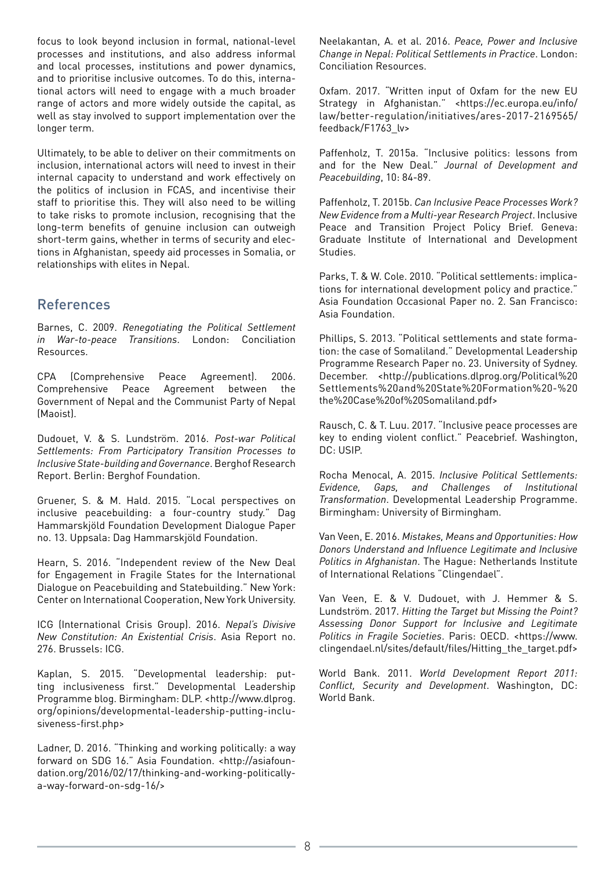focus to look beyond inclusion in formal, national-level processes and institutions, and also address informal and local processes, institutions and power dynamics, and to prioritise inclusive outcomes. To do this, international actors will need to engage with a much broader range of actors and more widely outside the capital, as well as stay involved to support implementation over the longer term.

Ultimately, to be able to deliver on their commitments on inclusion, international actors will need to invest in their internal capacity to understand and work effectively on the politics of inclusion in FCAS, and incentivise their staff to prioritise this. They will also need to be willing to take risks to promote inclusion, recognising that the long-term benefits of genuine inclusion can outweigh short-term gains, whether in terms of security and elections in Afghanistan, speedy aid processes in Somalia, or relationships with elites in Nepal.

## References

Barnes, C. 2009. *Renegotiating the Political Settlement in War-to-peace Transitions*. London: Conciliation Resources.

CPA (Comprehensive Peace Agreement). 2006. Comprehensive Peace Agreement between the Government of Nepal and the Communist Party of Nepal (Maoist).

Dudouet, V. & S. Lundström. 2016. *Post-war Political Settlements: From Participatory Transition Processes to Inclusive State-building and Governance*. Berghof Research Report. Berlin: Berghof Foundation.

Gruener, S. & M. Hald. 2015. "Local perspectives on inclusive peacebuilding: a four-country study." Dag Hammarskjöld Foundation Development Dialogue Paper no. 13. Uppsala: Dag Hammarskjöld Foundation.

Hearn, S. 2016. "Independent review of the New Deal for Engagement in Fragile States for the International Dialogue on Peacebuilding and Statebuilding." New York: Center on International Cooperation, New York University.

ICG (International Crisis Group). 2016. *Nepal's Divisive New Constitution: An Existential Crisis*. Asia Report no. 276. Brussels: ICG.

Kaplan, S. 2015. "Developmental leadership: putting inclusiveness first." Developmental Leadership Programme blog. Birmingham: DLP. <http://www.dlprog. org/opinions/developmental-leadership-putting-inclusiveness-first.php>

Ladner, D. 2016. "Thinking and working politically: a way forward on SDG 16." Asia Foundation. <http://asiafoundation.org/2016/02/17/thinking-and-working-politicallya-way-forward-on-sdg-16/>

Neelakantan, A. et al. 2016. *Peace, Power and Inclusive Change in Nepal: Political Settlements in Practice*. London: Conciliation Resources.

Oxfam. 2017. "Written input of Oxfam for the new EU Strategy in Afghanistan." <https://ec.europa.eu/info/ law/better-regulation/initiatives/ares-2017-2169565/ feedback/F1763\_lv>

Paffenholz, T. 2015a. "Inclusive politics: lessons from and for the New Deal." *Journal of Development and Peacebuilding*, 10: 84-89.

Paffenholz, T. 2015b. *Can Inclusive Peace Processes Work? New Evidence from a Multi-year Research Project*. Inclusive Peace and Transition Project Policy Brief. Geneva: Graduate Institute of International and Development Studies.

Parks, T. & W. Cole. 2010. "Political settlements: implications for international development policy and practice. Asia Foundation Occasional Paper no. 2. San Francisco: Asia Foundation.

Phillips, S. 2013. "Political settlements and state formation: the case of Somaliland." Developmental Leadership Programme Research Paper no. 23. University of Sydney. December. <http://publications.dlprog.org/Political%20 Settlements%20and%20State%20Formation%20-%20 the%20Case%20of%20Somaliland.pdf>

Rausch, C. & T. Luu. 2017. "Inclusive peace processes are key to ending violent conflict." Peacebrief. Washington, DC: USIP.

Rocha Menocal, A. 2015. *Inclusive Political Settlements: Evidence, Gaps, and Challenges of Institutional Transformation*. Developmental Leadership Programme. Birmingham: University of Birmingham.

Van Veen, E. 2016. *Mistakes, Means and Opportunities: How Donors Understand and Influence Legitimate and Inclusive Politics in Afghanistan*. The Hague: Netherlands Institute of International Relations "Clingendael".

Van Veen, E. & V. Dudouet, with J. Hemmer & S. Lundström. 2017. *Hitting the Target but Missing the Point? Assessing Donor Support for Inclusive and Legitimate Politics in Fragile Societies*. Paris: OECD. <https://www. clingendael.nl/sites/default/files/Hitting\_the\_target.pdf>

World Bank. 2011. *World Development Report 2011: Conflict, Security and Development*. Washington, DC: World Bank.